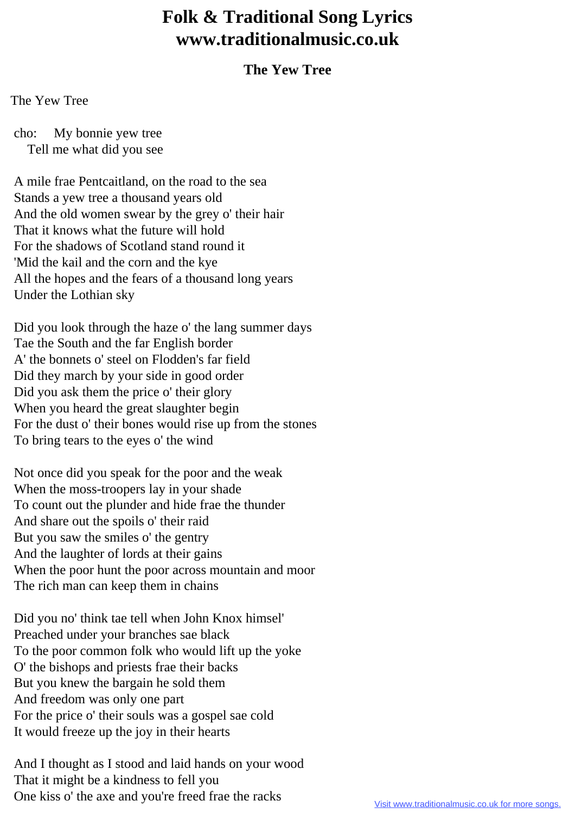## **Folk & Traditional Song Lyrics www.traditionalmusic.co.uk**

## **The Yew Tree**

The Yew Tree

 cho: My bonnie yew tree Tell me what did you see

 A mile frae Pentcaitland, on the road to the sea Stands a yew tree a thousand years old And the old women swear by the grey o' their hair That it knows what the future will hold For the shadows of Scotland stand round it 'Mid the kail and the corn and the kye All the hopes and the fears of a thousand long years Under the Lothian sky

 Did you look through the haze o' the lang summer days Tae the South and the far English border A' the bonnets o' steel on Flodden's far field Did they march by your side in good order Did you ask them the price o' their glory When you heard the great slaughter begin For the dust o' their bones would rise up from the stones To bring tears to the eyes o' the wind

 Not once did you speak for the poor and the weak When the moss-troopers lay in your shade To count out the plunder and hide frae the thunder And share out the spoils o' their raid But you saw the smiles o' the gentry And the laughter of lords at their gains When the poor hunt the poor across mountain and moor The rich man can keep them in chains

 Did you no' think tae tell when John Knox himsel' Preached under your branches sae black To the poor common folk who would lift up the yoke O' the bishops and priests frae their backs But you knew the bargain he sold them And freedom was only one part For the price o' their souls was a gospel sae cold It would freeze up the joy in their hearts

 And I thought as I stood and laid hands on your wood That it might be a kindness to fell you One kiss o' the axe and you're freed frae the racks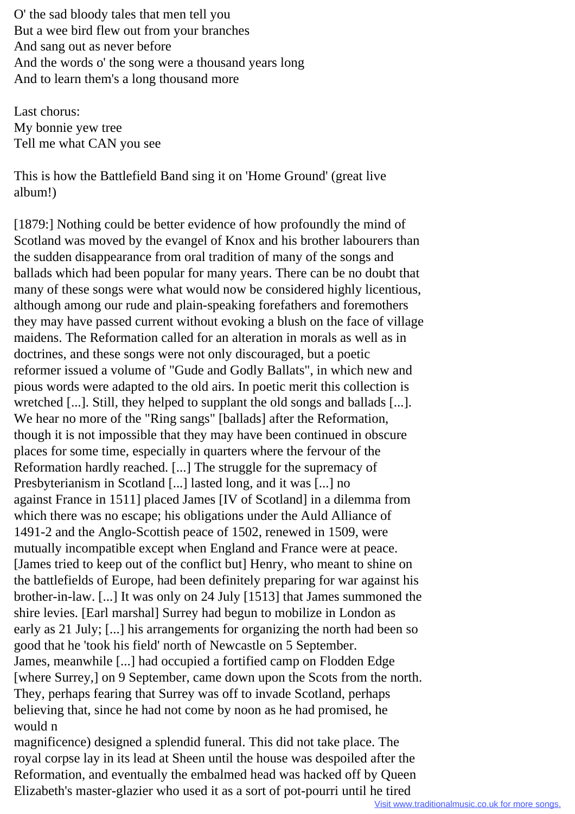O' the sad bloody tales that men tell you But a wee bird flew out from your branches And sang out as never before And the words o' the song were a thousand years long And to learn them's a long thousand more

 Last chorus: My bonnie yew tree Tell me what CAN you see

 This is how the Battlefield Band sing it on 'Home Ground' (great live album!)

 [1879:] Nothing could be better evidence of how profoundly the mind of Scotland was moved by the evangel of Knox and his brother labourers than the sudden disappearance from oral tradition of many of the songs and ballads which had been popular for many years. There can be no doubt that many of these songs were what would now be considered highly licentious, although among our rude and plain-speaking forefathers and foremothers they may have passed current without evoking a blush on the face of village maidens. The Reformation called for an alteration in morals as well as in doctrines, and these songs were not only discouraged, but a poetic reformer issued a volume of "Gude and Godly Ballats", in which new and pious words were adapted to the old airs. In poetic merit this collection is wretched [...]. Still, they helped to supplant the old songs and ballads [...]. We hear no more of the "Ring sangs" [ballads] after the Reformation, though it is not impossible that they may have been continued in obscure places for some time, especially in quarters where the fervour of the Reformation hardly reached. [...] The struggle for the supremacy of Presbyterianism in Scotland [...] lasted long, and it was [...] no against France in 1511] placed James [IV of Scotland] in a dilemma from which there was no escape; his obligations under the Auld Alliance of 1491-2 and the Anglo-Scottish peace of 1502, renewed in 1509, were mutually incompatible except when England and France were at peace. [James tried to keep out of the conflict but] Henry, who meant to shine on the battlefields of Europe, had been definitely preparing for war against his brother-in-law. [...] It was only on 24 July [1513] that James summoned the shire levies. [Earl marshal] Surrey had begun to mobilize in London as early as 21 July; [...] his arrangements for organizing the north had been so good that he 'took his field' north of Newcastle on 5 September. James, meanwhile [...] had occupied a fortified camp on Flodden Edge [where Surrey,] on 9 September, came down upon the Scots from the north. They, perhaps fearing that Surrey was off to invade Scotland, perhaps believing that, since he had not come by noon as he had promised, he would n

 magnificence) designed a splendid funeral. This did not take place. The royal corpse lay in its lead at Sheen until the house was despoiled after the Reformation, and eventually the embalmed head was hacked off by Queen Elizabeth's master-glazier who used it as a sort of pot-pourri until he tired